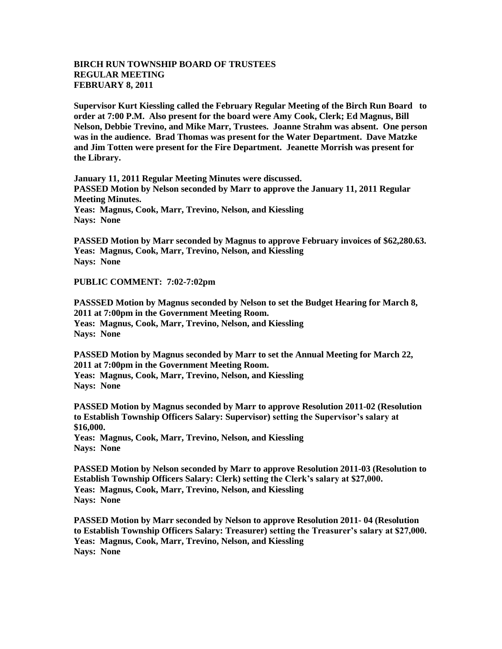## **BIRCH RUN TOWNSHIP BOARD OF TRUSTEES REGULAR MEETING FEBRUARY 8, 2011**

**Supervisor Kurt Kiessling called the February Regular Meeting of the Birch Run Board to order at 7:00 P.M. Also present for the board were Amy Cook, Clerk; Ed Magnus, Bill Nelson, Debbie Trevino, and Mike Marr, Trustees. Joanne Strahm was absent. One person was in the audience. Brad Thomas was present for the Water Department. Dave Matzke and Jim Totten were present for the Fire Department. Jeanette Morrish was present for the Library.**

**January 11, 2011 Regular Meeting Minutes were discussed. PASSED Motion by Nelson seconded by Marr to approve the January 11, 2011 Regular Meeting Minutes. Yeas: Magnus, Cook, Marr, Trevino, Nelson, and Kiessling Nays: None**

**PASSED Motion by Marr seconded by Magnus to approve February invoices of \$62,280.63. Yeas: Magnus, Cook, Marr, Trevino, Nelson, and Kiessling Nays: None**

**PUBLIC COMMENT: 7:02-7:02pm**

**PASSSED Motion by Magnus seconded by Nelson to set the Budget Hearing for March 8, 2011 at 7:00pm in the Government Meeting Room. Yeas: Magnus, Cook, Marr, Trevino, Nelson, and Kiessling Nays: None**

**PASSED Motion by Magnus seconded by Marr to set the Annual Meeting for March 22, 2011 at 7:00pm in the Government Meeting Room. Yeas: Magnus, Cook, Marr, Trevino, Nelson, and Kiessling Nays: None**

**PASSED Motion by Magnus seconded by Marr to approve Resolution 2011-02 (Resolution to Establish Township Officers Salary: Supervisor) setting the Supervisor's salary at \$16,000. Yeas: Magnus, Cook, Marr, Trevino, Nelson, and Kiessling Nays: None**

**PASSED Motion by Nelson seconded by Marr to approve Resolution 2011-03 (Resolution to Establish Township Officers Salary: Clerk) setting the Clerk's salary at \$27,000. Yeas: Magnus, Cook, Marr, Trevino, Nelson, and Kiessling Nays: None**

**PASSED Motion by Marr seconded by Nelson to approve Resolution 2011- 04 (Resolution to Establish Township Officers Salary: Treasurer) setting the Treasurer's salary at \$27,000. Yeas: Magnus, Cook, Marr, Trevino, Nelson, and Kiessling Nays: None**